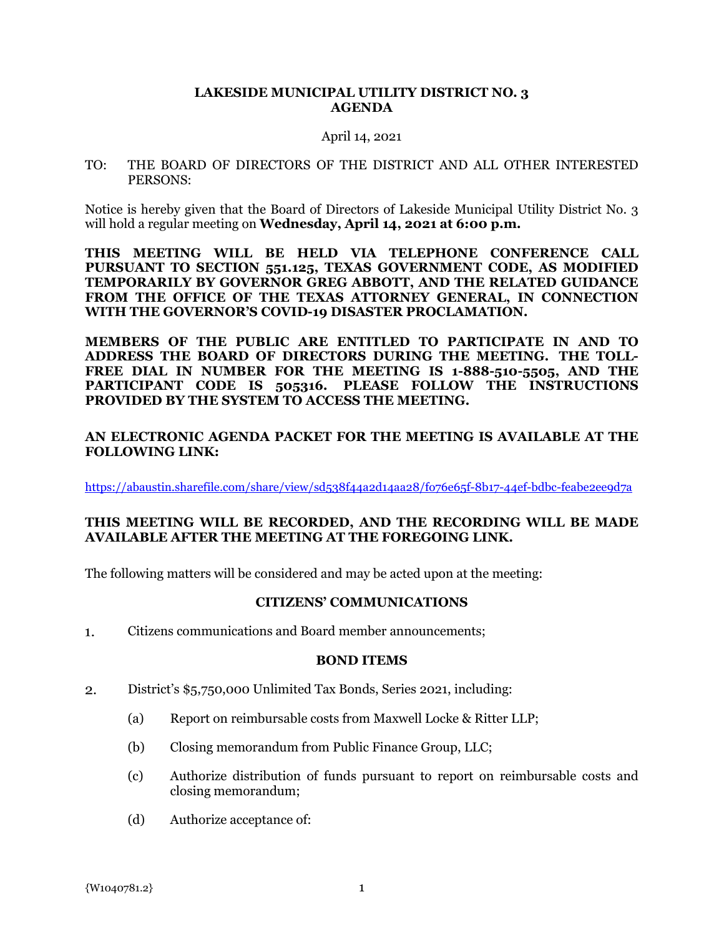### **LAKESIDE MUNICIPAL UTILITY DISTRICT NO. 3 AGENDA**

#### April 14, 2021

TO: THE BOARD OF DIRECTORS OF THE DISTRICT AND ALL OTHER INTERESTED PERSONS:

Notice is hereby given that the Board of Directors of Lakeside Municipal Utility District No. 3 will hold a regular meeting on **Wednesday, April 14, 2021 at 6:00 p.m.**

**THIS MEETING WILL BE HELD VIA TELEPHONE CONFERENCE CALL PURSUANT TO SECTION 551.125, TEXAS GOVERNMENT CODE, AS MODIFIED TEMPORARILY BY GOVERNOR GREG ABBOTT, AND THE RELATED GUIDANCE FROM THE OFFICE OF THE TEXAS ATTORNEY GENERAL, IN CONNECTION WITH THE GOVERNOR'S COVID-19 DISASTER PROCLAMATION.**

**MEMBERS OF THE PUBLIC ARE ENTITLED TO PARTICIPATE IN AND TO ADDRESS THE BOARD OF DIRECTORS DURING THE MEETING. THE TOLL-FREE DIAL IN NUMBER FOR THE MEETING IS 1-888-510-5505, AND THE PARTICIPANT CODE IS 505316. PLEASE FOLLOW THE INSTRUCTIONS PROVIDED BY THE SYSTEM TO ACCESS THE MEETING.**

## **AN ELECTRONIC AGENDA PACKET FOR THE MEETING IS AVAILABLE AT THE FOLLOWING LINK:**

https://abaustin.sharefile.com/share/view/sd538f44a2d14aa28/fo76e65f-8b17-44ef-bdbc-feabe2ee9d7a

# **THIS MEETING WILL BE RECORDED, AND THE RECORDING WILL BE MADE AVAILABLE AFTER THE MEETING AT THE FOREGOING LINK.**

The following matters will be considered and may be acted upon at the meeting:

### **CITIZENS' COMMUNICATIONS**

 $1.$ Citizens communications and Board member announcements;

### **BOND ITEMS**

- District's \$5,750,000 Unlimited Tax Bonds, Series 2021, including:  $2.$ 
	- (a) Report on reimbursable costs from Maxwell Locke & Ritter LLP;
	- (b) Closing memorandum from Public Finance Group, LLC;
	- (c) Authorize distribution of funds pursuant to report on reimbursable costs and closing memorandum;
	- (d) Authorize acceptance of: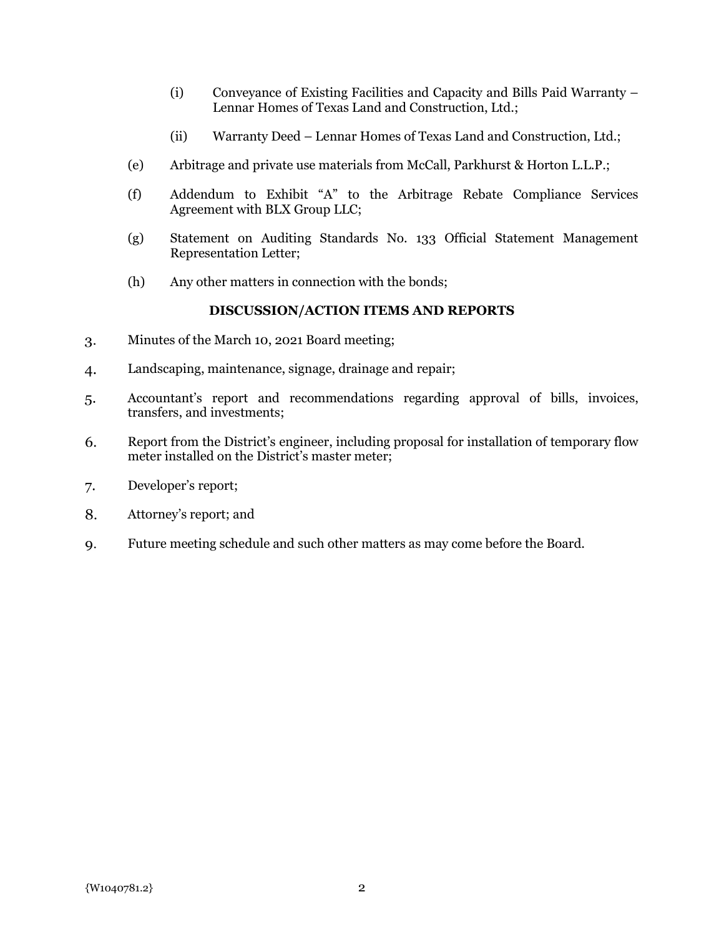- (i) Conveyance of Existing Facilities and Capacity and Bills Paid Warranty Lennar Homes of Texas Land and Construction, Ltd.;
- (ii) Warranty Deed Lennar Homes of Texas Land and Construction, Ltd.;
- (e) Arbitrage and private use materials from McCall, Parkhurst & Horton L.L.P.;
- (f) Addendum to Exhibit "A" to the Arbitrage Rebate Compliance Services Agreement with BLX Group LLC;
- (g) Statement on Auditing Standards No. 133 Official Statement Management Representation Letter;
- (h) Any other matters in connection with the bonds;

## **DISCUSSION/ACTION ITEMS AND REPORTS**

- Minutes of the March 10, 2021 Board meeting;  $3.$
- $4.$ Landscaping, maintenance, signage, drainage and repair;
- Accountant's report and recommendations regarding approval of bills, invoices, 5. transfers, and investments;
- 6. Report from the District's engineer, including proposal for installation of temporary flow meter installed on the District's master meter;
- Developer's report; 7.
- 8. Attorney's report; and
- Future meeting schedule and such other matters as may come before the Board.9.